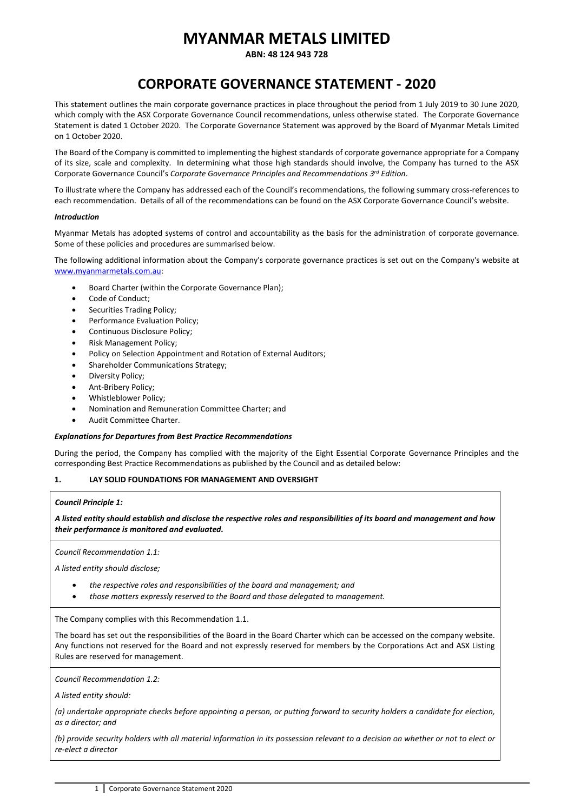# **MYANMAR METALS LIMITED**

**ABN: 48 124 943 728**

## **CORPORATE GOVERNANCE STATEMENT - 2020**

This statement outlines the main corporate governance practices in place throughout the period from 1 July 2019 to 30 June 2020, which comply with the ASX Corporate Governance Council recommendations, unless otherwise stated. The Corporate Governance Statement is dated 1 October 2020. The Corporate Governance Statement was approved by the Board of Myanmar Metals Limited on 1 October 2020.

The Board of the Company is committed to implementing the highest standards of corporate governance appropriate for a Company of its size, scale and complexity. In determining what those high standards should involve, the Company has turned to the ASX Corporate Governance Council's *Corporate Governance Principles and Recommendations 3rd Edition*.

To illustrate where the Company has addressed each of the Council's recommendations, the following summary cross-references to each recommendation. Details of all of the recommendations can be found on the ASX Corporate Governance Council's website.

## *Introduction*

Myanmar Metals has adopted systems of control and accountability as the basis for the administration of corporate governance. Some of these policies and procedures are summarised below.

The following additional information about the Company's corporate governance practices is set out on the Company's website at [www.myanmarmetals.com.au:](http://www.myanmarmetals.com.au/)

- Board Charter (within the Corporate Governance Plan);
- Code of Conduct;
- Securities Trading Policy;
- Performance Evaluation Policy;
- Continuous Disclosure Policy;
- Risk Management Policy;
- Policy on Selection Appointment and Rotation of External Auditors;
- Shareholder Communications Strategy;
- Diversity Policy;
- Ant-Bribery Policy;
- Whistleblower Policy;
- Nomination and Remuneration Committee Charter; and
- Audit Committee Charter.

## *Explanations for Departures from Best Practice Recommendations*

During the period, the Company has complied with the majority of the Eight Essential Corporate Governance Principles and the corresponding Best Practice Recommendations as published by the Council and as detailed below:

## **1. LAY SOLID FOUNDATIONS FOR MANAGEMENT AND OVERSIGHT**

## *Council Principle 1:*

*A listed entity should establish and disclose the respective roles and responsibilities of its board and management and how their performance is monitored and evaluated.*

*Council Recommendation 1.1:*

*A listed entity should disclose;*

- *the respective roles and responsibilities of the board and management; and*
- *those matters expressly reserved to the Board and those delegated to management.*

The Company complies with this Recommendation 1.1.

The board has set out the responsibilities of the Board in the Board Charter which can be accessed on the company website. Any functions not reserved for the Board and not expressly reserved for members by the Corporations Act and ASX Listing Rules are reserved for management.

*Council Recommendation 1.2:*

*A listed entity should:*

*(a) undertake appropriate checks before appointing a person, or putting forward to security holders a candidate for election, as a director; and* 

*(b) provide security holders with all material information in its possession relevant to a decision on whether or not to elect or re-elect a director*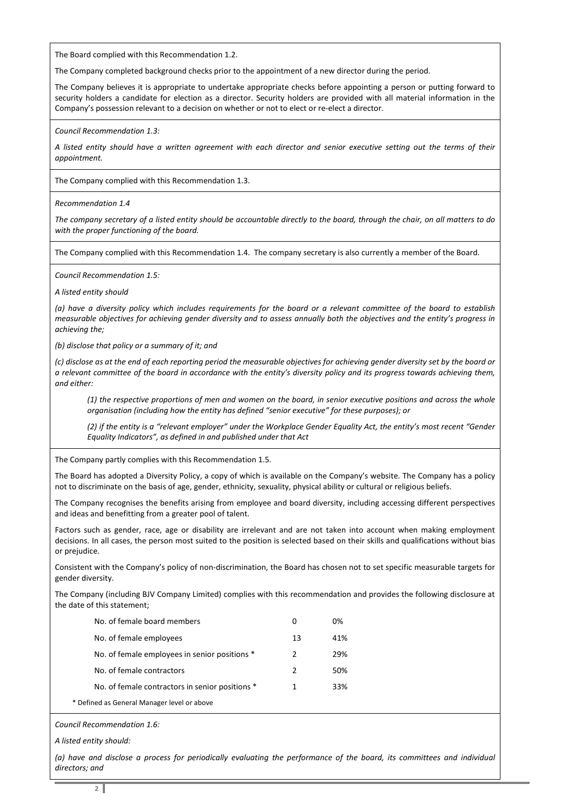The Board complied with this Recommendation 1.2.

The Company completed background checks prior to the appointment of a new director during the period.

The Company believes it is appropriate to undertake appropriate checks before appointing a person or putting forward to security holders a candidate for election as a director. Security holders are provided with all material information in the Company's possession relevant to a decision on whether or not to elect or re-elect a director.

*Council Recommendation 1.3:*

*A listed entity should have a written agreement with each director and senior executive setting out the terms of their appointment.*

The Company complied with this Recommendation 1.3.

*Recommendation 1.4* 

*The company secretary of a listed entity should be accountable directly to the board, through the chair, on all matters to do with the proper functioning of the board.*

The Company complied with this Recommendation 1.4. The company secretary is also currently a member of the Board.

*Council Recommendation 1.5:*

*A listed entity should*

*(a) have a diversity policy which includes requirements for the board or a relevant committee of the board to establish measurable objectives for achieving gender diversity and to assess annually both the objectives and the entity's progress in achieving the;*

*(b) disclose that policy or a summary of it; and* 

*(c) disclose as at the end of each reporting period the measurable objectives for achieving gender diversity set by the board or a relevant committee of the board in accordance with the entity's diversity policy and its progress towards achieving them, and either:* 

*(1) the respective proportions of men and women on the board, in senior executive positions and across the whole organisation (including how the entity has defined "senior executive" for these purposes); or* 

*(2) if the entity is a "relevant employer" under the Workplace Gender Equality Act, the entity's most recent "Gender Equality Indicators", as defined in and published under that Act*

The Company partly complies with this Recommendation 1.5.

The Board has adopted a Diversity Policy, a copy of which is available on the Company's website. The Company has a policy not to discriminate on the basis of age, gender, ethnicity, sexuality, physical ability or cultural or religious beliefs.

The Company recognises the benefits arising from employee and board diversity, including accessing different perspectives and ideas and benefitting from a greater pool of talent.

Factors such as gender, race, age or disability are irrelevant and are not taken into account when making employment decisions. In all cases, the person most suited to the position is selected based on their skills and qualifications without bias or prejudice.

Consistent with the Company's policy of non-discrimination, the Board has chosen not to set specific measurable targets for gender diversity.

The Company (including BJV Company Limited) complies with this recommendation and provides the following disclosure at the date of this statement;

| No. of female board members                     | O  | 0%  |
|-------------------------------------------------|----|-----|
| No. of female employees                         | 13 | 41% |
| No. of female employees in senior positions *   | 2  | 29% |
| No. of female contractors                       | 2  | 50% |
| No. of female contractors in senior positions * | 1  | 33% |
| * Defined as General Manager level or above     |    |     |

*Council Recommendation 1.6:*

*A listed entity should:* 

*(a) have and disclose a process for periodically evaluating the performance of the board, its committees and individual directors; and*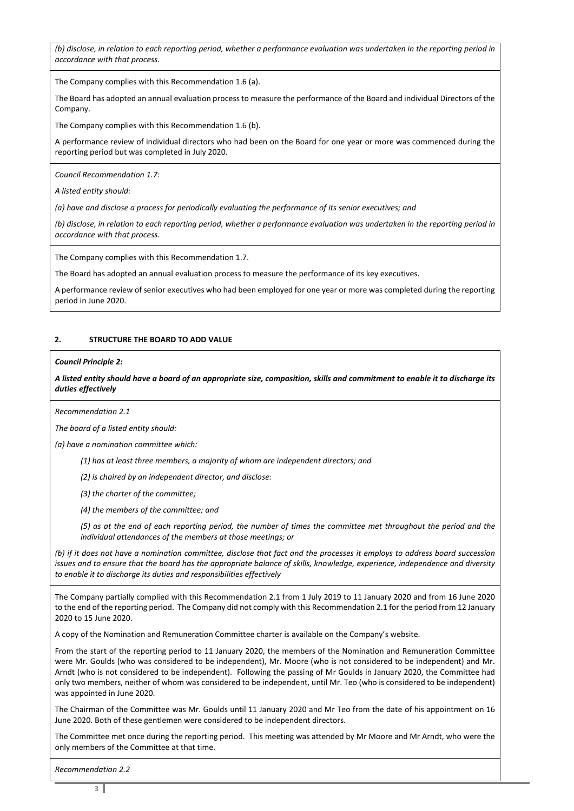*(b) disclose, in relation to each reporting period, whether a performance evaluation was undertaken in the reporting period in accordance with that process.*

The Company complies with this Recommendation 1.6 (a).

The Board has adopted an annual evaluation process to measure the performance of the Board and individual Directors of the Company.

The Company complies with this Recommendation 1.6 (b).

A performance review of individual directors who had been on the Board for one year or more was commenced during the reporting period but was completed in July 2020.

*Council Recommendation 1.7:*

*A listed entity should:* 

*(a) have and disclose a process for periodically evaluating the performance of its senior executives; and* 

*(b) disclose, in relation to each reporting period, whether a performance evaluation was undertaken in the reporting period in accordance with that process.*

The Company complies with this Recommendation 1.7.

The Board has adopted an annual evaluation process to measure the performance of its key executives.

A performance review of senior executives who had been employed for one year or more was completed during the reporting period in June 2020.

## **2. STRUCTURE THE BOARD TO ADD VALUE**

## *Council Principle 2:*

*A listed entity should have a board of an appropriate size, composition, skills and commitment to enable it to discharge its duties effectively*

#### *Recommendation 2.1*

*The board of a listed entity should:* 

*(a) have a nomination committee which:* 

*(1) has at least three members, a majority of whom are independent directors; and* 

*(2) is chaired by an independent director, and disclose:* 

*(3) the charter of the committee;* 

*(4) the members of the committee; and* 

*(5) as at the end of each reporting period, the number of times the committee met throughout the period and the individual attendances of the members at those meetings; or* 

*(b) if it does not have a nomination committee, disclose that fact and the processes it employs to address board succession issues and to ensure that the board has the appropriate balance of skills, knowledge, experience, independence and diversity to enable it to discharge its duties and responsibilities effectively*

The Company partially complied with this Recommendation 2.1 from 1 July 2019 to 11 January 2020 and from 16 June 2020 to the end of the reporting period. The Company did not comply with this Recommendation 2.1 for the period from 12 January 2020 to 15 June 2020.

A copy of the Nomination and Remuneration Committee charter is available on the Company's website.

From the start of the reporting period to 11 January 2020, the members of the Nomination and Remuneration Committee were Mr. Goulds (who was considered to be independent), Mr. Moore (who is not considered to be independent) and Mr. Arndt (who is not considered to be independent). Following the passing of Mr Goulds in January 2020, the Committee had only two members, neither of whom was considered to be independent, until Mr. Teo (who is considered to be independent) was appointed in June 2020.

The Chairman of the Committee was Mr. Goulds until 11 January 2020 and Mr Teo from the date of his appointment on 16 June 2020. Both of these gentlemen were considered to be independent directors.

The Committee met once during the reporting period. This meeting was attended by Mr Moore and Mr Arndt, who were the only members of the Committee at that time.

*Recommendation 2.2*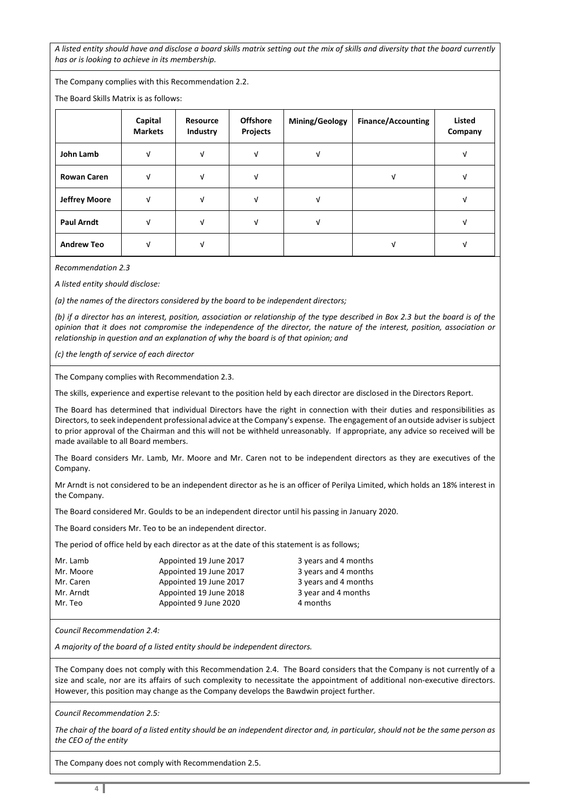*A listed entity should have and disclose a board skills matrix setting out the mix of skills and diversity that the board currently has or is looking to achieve in its membership.*

The Company complies with this Recommendation 2.2.

The Board Skills Matrix is as follows:

|                      | Capital<br><b>Markets</b> | <b>Resource</b><br>Industry | <b>Offshore</b><br><b>Projects</b> | <b>Mining/Geology</b> | <b>Finance/Accounting</b> | <b>Listed</b><br>Company |
|----------------------|---------------------------|-----------------------------|------------------------------------|-----------------------|---------------------------|--------------------------|
| John Lamb            | ν                         | ν                           | v                                  | V                     |                           |                          |
| <b>Rowan Caren</b>   | ν                         | ν                           | ν                                  |                       |                           |                          |
| <b>Jeffrey Moore</b> | v                         | ν                           | ν                                  | v                     |                           |                          |
| <b>Paul Arndt</b>    | ν                         |                             | ν                                  | V                     |                           |                          |
| <b>Andrew Teo</b>    |                           |                             |                                    |                       |                           |                          |

*Recommendation 2.3* 

*A listed entity should disclose:* 

*(a) the names of the directors considered by the board to be independent directors;* 

*(b) if a director has an interest, position, association or relationship of the type described in Box 2.3 but the board is of the opinion that it does not compromise the independence of the director, the nature of the interest, position, association or relationship in question and an explanation of why the board is of that opinion; and* 

*(c) the length of service of each director*

The Company complies with Recommendation 2.3.

The skills, experience and expertise relevant to the position held by each director are disclosed in the Directors Report.

The Board has determined that individual Directors have the right in connection with their duties and responsibilities as Directors, to seek independent professional advice at the Company's expense. The engagement of an outside adviser is subject to prior approval of the Chairman and this will not be withheld unreasonably. If appropriate, any advice so received will be made available to all Board members.

The Board considers Mr. Lamb, Mr. Moore and Mr. Caren not to be independent directors as they are executives of the Company.

Mr Arndt is not considered to be an independent director as he is an officer of Perilya Limited, which holds an 18% interest in the Company.

The Board considered Mr. Goulds to be an independent director until his passing in January 2020.

The Board considers Mr. Teo to be an independent director.

The period of office held by each director as at the date of this statement is as follows;

| Mr. Lamb  | Appointed 19 June 2017 | 3 years and 4 months |
|-----------|------------------------|----------------------|
| Mr. Moore | Appointed 19 June 2017 | 3 years and 4 months |
| Mr. Caren | Appointed 19 June 2017 | 3 years and 4 months |
| Mr. Arndt | Appointed 19 June 2018 | 3 year and 4 months  |
| Mr. Teo   | Appointed 9 June 2020  | 4 months             |

*Council Recommendation 2.4:*

*A majority of the board of a listed entity should be independent directors.*

The Company does not comply with this Recommendation 2.4. The Board considers that the Company is not currently of a size and scale, nor are its affairs of such complexity to necessitate the appointment of additional non-executive directors. However, this position may change as the Company develops the Bawdwin project further.

*Council Recommendation 2.5:*

*The chair of the board of a listed entity should be an independent director and, in particular, should not be the same person as the CEO of the entity*

The Company does not comply with Recommendation 2.5.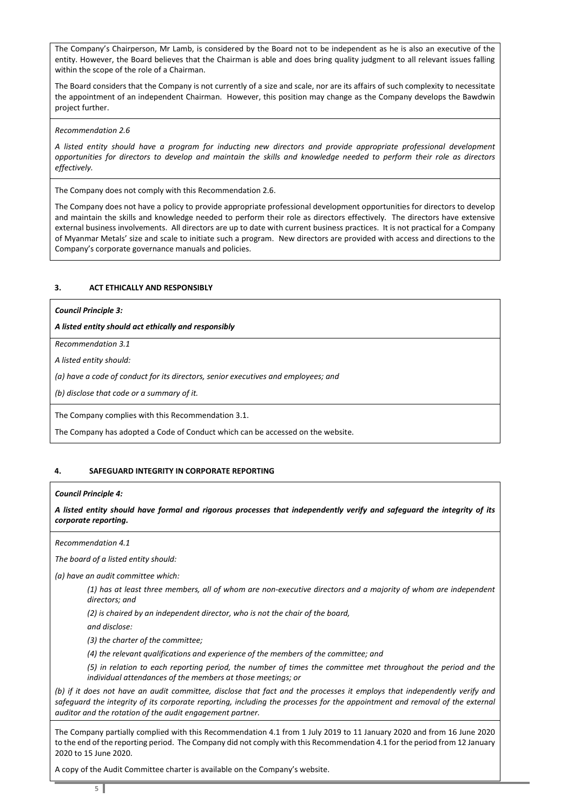The Company's Chairperson, Mr Lamb, is considered by the Board not to be independent as he is also an executive of the entity. However, the Board believes that the Chairman is able and does bring quality judgment to all relevant issues falling within the scope of the role of a Chairman.

The Board considers that the Company is not currently of a size and scale, nor are its affairs of such complexity to necessitate the appointment of an independent Chairman. However, this position may change as the Company develops the Bawdwin project further.

## *Recommendation 2.6*

*A listed entity should have a program for inducting new directors and provide appropriate professional development opportunities for directors to develop and maintain the skills and knowledge needed to perform their role as directors effectively.*

The Company does not comply with this Recommendation 2.6.

The Company does not have a policy to provide appropriate professional development opportunities for directors to develop and maintain the skills and knowledge needed to perform their role as directors effectively. The directors have extensive external business involvements. All directors are up to date with current business practices. It is not practical for a Company of Myanmar Metals' size and scale to initiate such a program. New directors are provided with access and directions to the Company's corporate governance manuals and policies.

## **3. ACT ETHICALLY AND RESPONSIBLY**

*Council Principle 3:*

*A listed entity should act ethically and responsibly*

*Recommendation 3.1* 

*A listed entity should:* 

*(a) have a code of conduct for its directors, senior executives and employees; and*

*(b) disclose that code or a summary of it.*

The Company complies with this Recommendation 3.1.

The Company has adopted a Code of Conduct which can be accessed on the website.

## **4. SAFEGUARD INTEGRITY IN CORPORATE REPORTING**

## *Council Principle 4:*

*A listed entity should have formal and rigorous processes that independently verify and safeguard the integrity of its corporate reporting.*

## *Recommendation 4.1*

*The board of a listed entity should:* 

*(a) have an audit committee which:* 

*(1) has at least three members, all of whom are non-executive directors and a majority of whom are independent directors; and* 

*(2) is chaired by an independent director, who is not the chair of the board,* 

*and disclose:* 

*(3) the charter of the committee;* 

*(4) the relevant qualifications and experience of the members of the committee; and* 

*(5) in relation to each reporting period, the number of times the committee met throughout the period and the individual attendances of the members at those meetings; or* 

*(b) if it does not have an audit committee, disclose that fact and the processes it employs that independently verify and*  safeguard the integrity of its corporate reporting, including the processes for the appointment and removal of the external *auditor and the rotation of the audit engagement partner.*

The Company partially complied with this Recommendation 4.1 from 1 July 2019 to 11 January 2020 and from 16 June 2020 to the end of the reporting period. The Company did not comply with this Recommendation 4.1 for the period from 12 January 2020 to 15 June 2020.

A copy of the Audit Committee charter is available on the Company's website.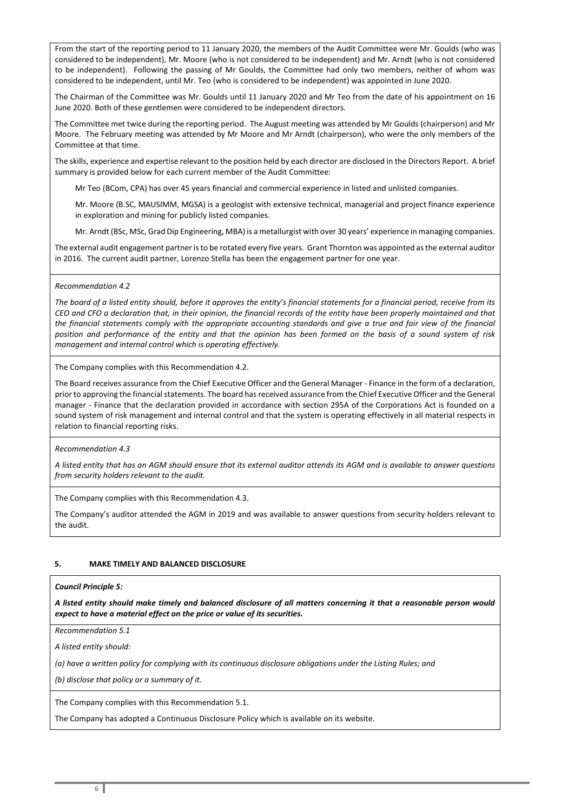From the start of the reporting period to 11 January 2020, the members of the Audit Committee were Mr. Goulds (who was considered to be independent), Mr. Moore (who is not considered to be independent) and Mr. Arndt (who is not considered to be independent). Following the passing of Mr Goulds, the Committee had only two members, neither of whom was considered to be independent, until Mr. Teo (who is considered to be independent) was appointed in June 2020.

The Chairman of the Committee was Mr. Goulds until 11 January 2020 and Mr Teo from the date of his appointment on 16 June 2020. Both of these gentlemen were considered to be independent directors.

The Committee met twice during the reporting period. The August meeting was attended by Mr Goulds (chairperson) and Mr Moore. The February meeting was attended by Mr Moore and Mr Arndt (chairperson), who were the only members of the Committee at that time.

The skills, experience and expertise relevant to the position held by each director are disclosed in the Directors Report. A brief summary is provided below for each current member of the Audit Committee:

Mr Teo (BCom, CPA) has over 45 years financial and commercial experience in listed and unlisted companies.

Mr. Moore (B.SC, MAUSIMM, MGSA) is a geologist with extensive technical, managerial and project finance experience in exploration and mining for publicly listed companies.

Mr. Arndt (BSc, MSc, Grad Dip Engineering, MBA) is a metallurgist with over 30 years' experience in managing companies.

The external audit engagement partner is to be rotated every five years. Grant Thornton was appointed as the external auditor in 2016. The current audit partner, Lorenzo Stella has been the engagement partner for one year.

## *Recommendation 4.2*

*The board of a listed entity should, before it approves the entity's financial statements for a financial period, receive from its CEO and CFO a declaration that, in their opinion, the financial records of the entity have been properly maintained and that the financial statements comply with the appropriate accounting standards and give a true and fair view of the financial position and performance of the entity and that the opinion has been formed on the basis of a sound system of risk management and internal control which is operating effectively.*

The Company complies with this Recommendation 4.2.

The Board receives assurance from the Chief Executive Officer and the General Manager - Finance in the form of a declaration, prior to approving the financial statements. The board has received assurance from the Chief Executive Officer and the General manager - Finance that the declaration provided in accordance with section 295A of the Corporations Act is founded on a sound system of risk management and internal control and that the system is operating effectively in all material respects in relation to financial reporting risks.

*Recommendation 4.3* 

*A listed entity that has an AGM should ensure that its external auditor attends its AGM and is available to answer questions from security holders relevant to the audit.*

The Company complies with this Recommendation 4.3.

The Company's auditor attended the AGM in 2019 and was available to answer questions from security holders relevant to the audit.

## **5. MAKE TIMELY AND BALANCED DISCLOSURE**

## *Council Principle 5:*

*A listed entity should make timely and balanced disclosure of all matters concerning it that a reasonable person would expect to have a material effect on the price or value of its securities.*

*Recommendation 5.1* 

*A listed entity should:* 

*(a) have a written policy for complying with its continuous disclosure obligations under the Listing Rules; and* 

*(b) disclose that policy or a summary of it.*

The Company complies with this Recommendation 5.1.

The Company has adopted a Continuous Disclosure Policy which is available on its website.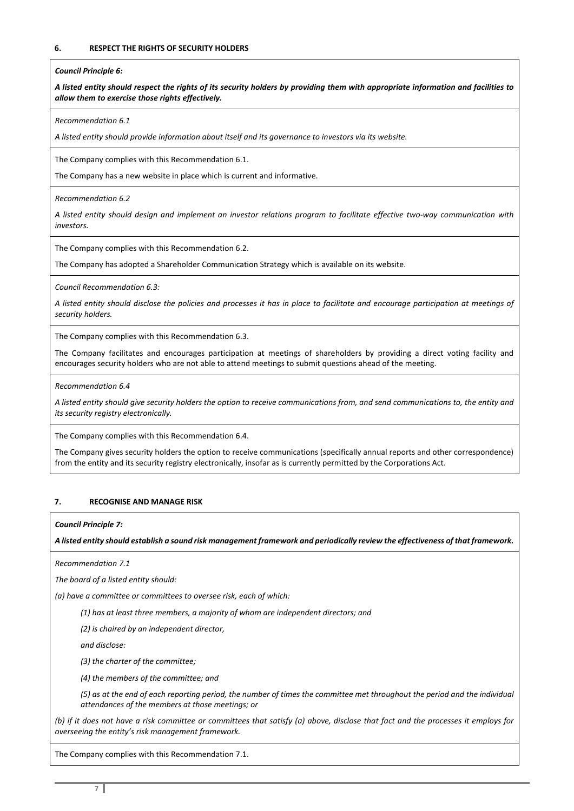#### *Council Principle 6:*

*A listed entity should respect the rights of its security holders by providing them with appropriate information and facilities to allow them to exercise those rights effectively.*

*Recommendation 6.1* 

*A listed entity should provide information about itself and its governance to investors via its website.*

The Company complies with this Recommendation 6.1.

The Company has a new website in place which is current and informative.

*Recommendation 6.2* 

*A listed entity should design and implement an investor relations program to facilitate effective two-way communication with investors.*

The Company complies with this Recommendation 6.2.

The Company has adopted a Shareholder Communication Strategy which is available on its website.

*Council Recommendation 6.3:*

*A listed entity should disclose the policies and processes it has in place to facilitate and encourage participation at meetings of security holders.*

The Company complies with this Recommendation 6.3.

The Company facilitates and encourages participation at meetings of shareholders by providing a direct voting facility and encourages security holders who are not able to attend meetings to submit questions ahead of the meeting.

*Recommendation 6.4* 

*A listed entity should give security holders the option to receive communications from, and send communications to, the entity and its security registry electronically.*

The Company complies with this Recommendation 6.4.

The Company gives security holders the option to receive communications (specifically annual reports and other correspondence) from the entity and its security registry electronically, insofar as is currently permitted by the Corporations Act.

## **7. RECOGNISE AND MANAGE RISK**

*Council Principle 7:*

*A listed entity should establish a sound risk management framework and periodically review the effectiveness of that framework.*

*Recommendation 7.1* 

*The board of a listed entity should:* 

*(a) have a committee or committees to oversee risk, each of which:* 

*(1) has at least three members, a majority of whom are independent directors; and* 

*(2) is chaired by an independent director,* 

*and disclose:* 

*(3) the charter of the committee;* 

*(4) the members of the committee; and* 

*(5) as at the end of each reporting period, the number of times the committee met throughout the period and the individual attendances of the members at those meetings; or* 

*(b) if it does not have a risk committee or committees that satisfy (a) above, disclose that fact and the processes it employs for overseeing the entity's risk management framework.*

The Company complies with this Recommendation 7.1.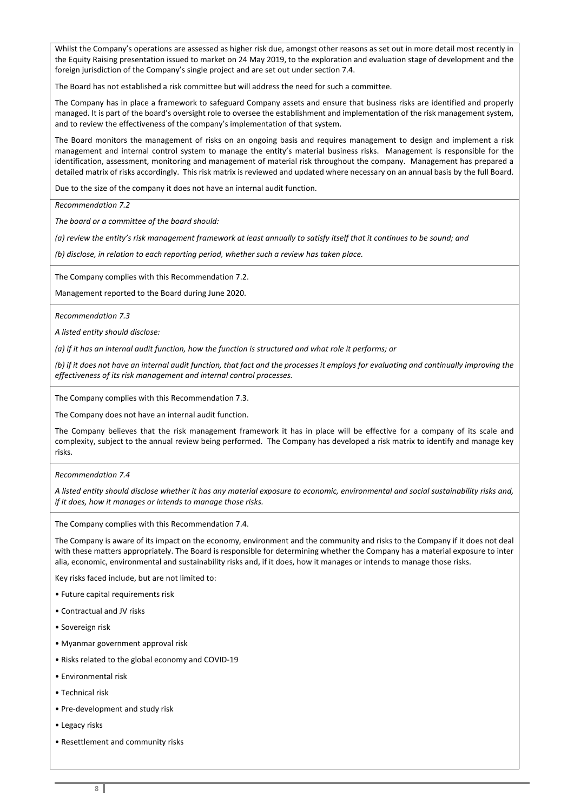Whilst the Company's operations are assessed as higher risk due, amongst other reasons as set out in more detail most recently in the Equity Raising presentation issued to market on 24 May 2019, to the exploration and evaluation stage of development and the foreign jurisdiction of the Company's single project and are set out under section 7.4.

The Board has not established a risk committee but will address the need for such a committee.

The Company has in place a framework to safeguard Company assets and ensure that business risks are identified and properly managed. It is part of the board's oversight role to oversee the establishment and implementation of the risk management system, and to review the effectiveness of the company's implementation of that system.

The Board monitors the management of risks on an ongoing basis and requires management to design and implement a risk management and internal control system to manage the entity's material business risks. Management is responsible for the identification, assessment, monitoring and management of material risk throughout the company. Management has prepared a detailed matrix of risks accordingly. This risk matrix is reviewed and updated where necessary on an annual basis by the full Board.

Due to the size of the company it does not have an internal audit function.

*Recommendation 7.2* 

*The board or a committee of the board should:* 

*(a) review the entity's risk management framework at least annually to satisfy itself that it continues to be sound; and* 

*(b) disclose, in relation to each reporting period, whether such a review has taken place.*

The Company complies with this Recommendation 7.2.

Management reported to the Board during June 2020.

*Recommendation 7.3* 

*A listed entity should disclose:* 

*(a) if it has an internal audit function, how the function is structured and what role it performs; or* 

*(b) if it does not have an internal audit function, that fact and the processes it employs for evaluating and continually improving the effectiveness of its risk management and internal control processes.*

The Company complies with this Recommendation 7.3.

The Company does not have an internal audit function.

The Company believes that the risk management framework it has in place will be effective for a company of its scale and complexity, subject to the annual review being performed. The Company has developed a risk matrix to identify and manage key risks.

*Recommendation 7.4* 

*A listed entity should disclose whether it has any material exposure to economic, environmental and social sustainability risks and, if it does, how it manages or intends to manage those risks.*

The Company complies with this Recommendation 7.4.

The Company is aware of its impact on the economy, environment and the community and risks to the Company if it does not deal with these matters appropriately. The Board is responsible for determining whether the Company has a material exposure to inter alia, economic, environmental and sustainability risks and, if it does, how it manages or intends to manage those risks.

Key risks faced include, but are not limited to:

- Future capital requirements risk
- Contractual and JV risks
- Sovereign risk
- Myanmar government approval risk
- Risks related to the global economy and COVID-19
- Environmental risk
- Technical risk
- Pre-development and study risk
- Legacy risks
- Resettlement and community risks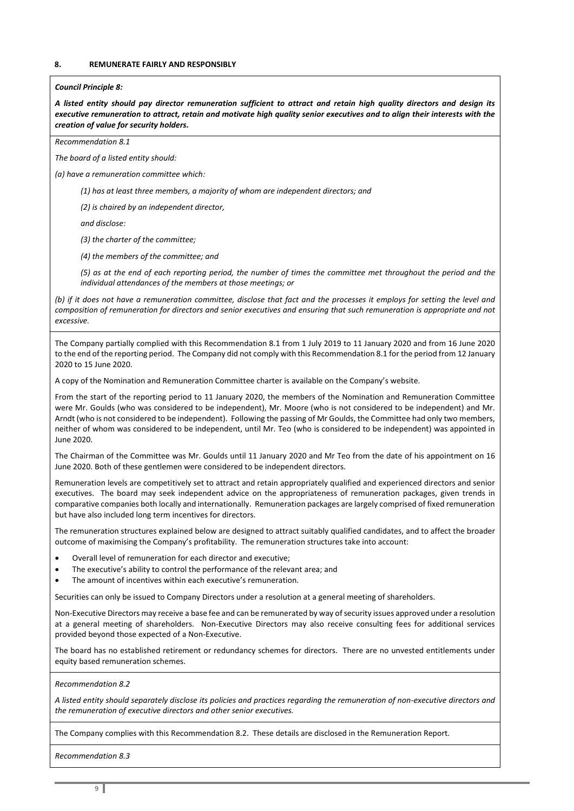#### **8. REMUNERATE FAIRLY AND RESPONSIBLY**

*Council Principle 8:*

*A listed entity should pay director remuneration sufficient to attract and retain high quality directors and design its executive remuneration to attract, retain and motivate high quality senior executives and to align their interests with the creation of value for security holders.*

*Recommendation 8.1* 

*The board of a listed entity should:* 

*(a) have a remuneration committee which:* 

*(1) has at least three members, a majority of whom are independent directors; and* 

*(2) is chaired by an independent director,* 

*and disclose:* 

*(3) the charter of the committee;* 

*(4) the members of the committee; and* 

*(5) as at the end of each reporting period, the number of times the committee met throughout the period and the individual attendances of the members at those meetings; or* 

*(b) if it does not have a remuneration committee, disclose that fact and the processes it employs for setting the level and composition of remuneration for directors and senior executives and ensuring that such remuneration is appropriate and not excessive.*

The Company partially complied with this Recommendation 8.1 from 1 July 2019 to 11 January 2020 and from 16 June 2020 to the end of the reporting period. The Company did not comply with this Recommendation 8.1 for the period from 12 January 2020 to 15 June 2020.

A copy of the Nomination and Remuneration Committee charter is available on the Company's website.

From the start of the reporting period to 11 January 2020, the members of the Nomination and Remuneration Committee were Mr. Goulds (who was considered to be independent), Mr. Moore (who is not considered to be independent) and Mr. Arndt (who is not considered to be independent). Following the passing of Mr Goulds, the Committee had only two members, neither of whom was considered to be independent, until Mr. Teo (who is considered to be independent) was appointed in June 2020.

The Chairman of the Committee was Mr. Goulds until 11 January 2020 and Mr Teo from the date of his appointment on 16 June 2020. Both of these gentlemen were considered to be independent directors.

Remuneration levels are competitively set to attract and retain appropriately qualified and experienced directors and senior executives. The board may seek independent advice on the appropriateness of remuneration packages, given trends in comparative companies both locally and internationally. Remuneration packages are largely comprised of fixed remuneration but have also included long term incentives for directors.

The remuneration structures explained below are designed to attract suitably qualified candidates, and to affect the broader outcome of maximising the Company's profitability. The remuneration structures take into account:

- Overall level of remuneration for each director and executive;
- The executive's ability to control the performance of the relevant area; and
- The amount of incentives within each executive's remuneration.

Securities can only be issued to Company Directors under a resolution at a general meeting of shareholders.

Non-Executive Directors may receive a base fee and can be remunerated by way of security issues approved under a resolution at a general meeting of shareholders. Non-Executive Directors may also receive consulting fees for additional services provided beyond those expected of a Non-Executive.

The board has no established retirement or redundancy schemes for directors. There are no unvested entitlements under equity based remuneration schemes.

#### *Recommendation 8.2*

*A listed entity should separately disclose its policies and practices regarding the remuneration of non-executive directors and the remuneration of executive directors and other senior executives.*

The Company complies with this Recommendation 8.2. These details are disclosed in the Remuneration Report.

*Recommendation 8.3*